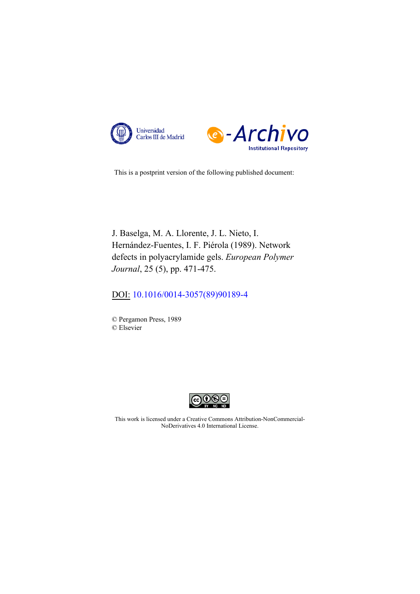



This is a postprint version of the following published document:

J. Baselga, M. A. Llorente, J. L. Nieto, I. Hernández-Fuentes, I. F. Piérola (1989). Network defects in polyacrylamide gels. *European Polymer Journal*, 25 (5), pp. 471-475.

# DOI: [10.1016/0014-3057\(89\)90189-4](https://dx.doi.org/10.1016/0014-3057(89)90189-4)

© Pergamon Press, 1989 © Elsevier



This work is licensed under a Creative Commons Attribution-NonCommercial-NoDerivatives 4.0 International License.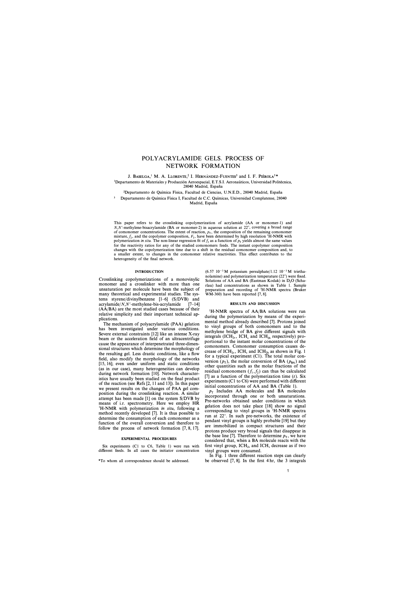# POLYACRYLAMIDE GELS. PROCESS OF NETWORK FORMATION

J. Baselga,<sup>1</sup> M. A. Llorente,<sup>2</sup> I. Hernández-Fuentes<sup>3</sup> and I. F. Piérola<sup>3\*</sup> <sup>1</sup>Departamento de Materiales y Producción Aeroespacial, E.T.S.I. Aeronaúticos, Universidad Politécnica,

28040 Madrid, España

**<sup>2</sup>**Departamento de Química Física, Facultad de Ciencias, U.N.E.D., 28040 Madrid, España

<sup>3</sup> Departamento de Química Física I, Facultad de C.C. Químicas, Universidad Complutense, 28040 Madrid, España

This paper refers to the crosslinking copolymerization of acrylamide (AA or monomer-1) and N,N'-methylene-bisacrylamide (BA or monomer-2) in aqueous solution at 22<sup>º</sup> , covering a broad range of comonomer concentrations. The extent of reaction,  $p_T$ , the composition of the remaining comonomer mixture,  $f_2$ , and the copolymer composition,  $F_2$ , have been determined by high resolution 'H-NMR with polymerization *in situ*. The non-linear regression fit of  $f_2$  as a function of  $p_T$  yields almost the same values for the reactivity ratios for any of the studied comonomers feeds. The instant copolymer composition changes with the copolymerization time due to a shift in the residual comonomer composition and, to a smaller extent, to changes in the comonomer relative reactivities. This effect contributes to the heterogeneity of the final network.

### **INTRODUCTION**

Crosslinking copolymerizations of a monovinylic monomer and a crosslinker with more than one unsaturation per molecule have been the subject of many theoretical and experimental studies. The systems styrene/divinylbenzene [1-6] **(S/DVB)** and  $\arctan\left(\frac{N}{N-m}\right)$  -methylene-bis-acrylamide **(AA/BA)** are the most studied cases because of their relative simplicity and their important technical applications.

The mechanism of polyacrylamide (PAA) gelation has been investigated under various conditions. Severe external constraints [12] like an intense X-ray beam or the acceleration field of an ultracentrifuge cause the appearance of interpenetrated three-dimensional structures which determine the morphology of the resulting gel. Less drastic conditions, like a flow field, also modify the morphology of the networks [15, 16]; even under uniform and static conditions (as in our case), many heterogeneities can develop during network formation [10]. Network characteristics have usually been studied on the final product of the reaction (see Refs [2, 11 and 13]). In this paper we present results on the changes of PAA gel composition during the crosslinking reaction. A similar attempt has been made [l] on the system S/DVB by means of i.r. spectrometry. Here we employ **HR <sup>1</sup>H-NMR** with polymerization *in situ,* following a method recently developed [7]. It is thus possible to determine the consumption of each comonomer as a function of the overall conversion and therefore to follow the process of network formation [7, 8, 17].

# **EXPERIMENTAL PROCEDURES**

Six experiments (Cl to C6, Table 1) were run with different feeds. In ali cases the initiator concentration  $(6.57 \t10^{-3} \text{M}$  potassium persulphate/1.12 10<sup>-3</sup> M triethanolamine) and polymerization temperature (22<sup>º</sup> ) were fixed. Solutions of AA and BA (Eastman Kodak) in  $D_2O$  (Scharlau) had concentrations as shown in Table l. Sample preparation and recording of **<sup>1</sup>**H-NMR spectra (Bruker  $W$ M-360) have been reported [7, 8].

## **RESULTS AND DISCUSSION**

**<sup>1</sup>H-NMR** spectra of **AA/BA** solutions were run during the polymerization by means of the experimental method already described [7]. Protons joined to vinyl groups of both comonomers and to the methylene bridge of **BA** give different signals with integrals (ICH<sub>2v</sub>, ICH<sub>v</sub> and ICH<sub>2b</sub> respectively) proportional to the instant molar concentrations of the comonomers. Comonomer consumption causes decrease of ICH<sub>2v</sub>, ICH<sub>v</sub> and ICH<sub>2b</sub> as shown in Fig. 1 for a typical experiment (Cl). The total molar conversion  $(p_T)$ , the molar conversion of BA  $(p_{BA})$  and other quantities such as the molar fractions of the residual comonomers  $(f_1, f_2)$  can thus be calculated [7] as a function of the polymerization time  $(t)$ . Six experiments (Cl to C6) were performed with different initial concentrations of AA and **BA** (Table 1).

 $p_T$  Includes AA molecules and BA molecules incorporated through one or both unsaturations. Pre-networks obtained under conditions in which gelation does not take place [18] show no signa! corresponding to vinyl groups in **<sup>1</sup>H-NMR** spectra run at 22<sup>º</sup> . In such pre-networks, the existence of pendant vinyl groups is highly probable [19] but they are immobilized in compact structures and their protons produce very broad signals that disappear in the base line [7]. Therefore to determine  $p<sub>T</sub>$ , we have considered that, when a BA molecule reacts with the first vinyl group,  $ICH_{2v}$  and  $ICH_{v}$  decrease as if two vinyl groups were consumed.

In Fig. I three different reaction steps can clearly be observed [7, 8]. In the first 4 hr, the 3 integrals

<sup>\*</sup>To whom ali correspondence should be addressed.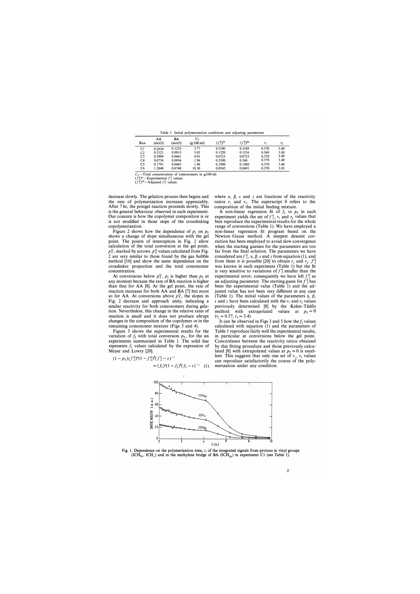Table 1. Initial polymerization conditions and adjusting parameters

| Run            | AA<br>(mol/l) | BA<br>(mol/l) | $C_{\tau}$<br>$(g/100 \,\mathrm{m})$ | $(f_2^0)^{ex}$ | $(f_2^0)^{\text{ad}}$ |       | r <sub>2</sub> |
|----------------|---------------|---------------|--------------------------------------|----------------|-----------------------|-------|----------------|
| C1             | 0.2634        | 0.1233        | 3.77                                 | 0.3190         | 0.3189                | 0.570 | 3.40           |
| C <sub>2</sub> | 0.5121        | 0.0915        | 5.05                                 | 0.1520         | 0.1516                | 0.569 | 3.89           |
| C <sub>3</sub> | 0.5909        | 0.0461        | 4.91                                 | 0.0723         | 0.0723                | 0.570 | 3.40           |
| C4             | 0.0736        | 0.0934        | 1.96                                 | 0.5590         | 0.560                 | 0.570 | 3.40           |
| C5             | 0.1791        | 0.0445        | 1.96                                 | 0.1990         | 0.1880                | 0.570 | 3.40           |
| C6             | .2840         | 0.0740        | 10.30                                | 0.0545         | 0.0491                | 0.570 | 3.05           |

-Total concentration of comonomers in  $g/100$  ml.

 $x$ —Experimental  $f_2^0$  values.

 $\int^{\text{ad}}$ —Adjusted  $f_2^0$  values.

decrease slowly. The gelation process then begins and the rate of polymerization increases appreciably. After 7 hr, the postgel reaction proceeds slowly. This is the general behaviour observed in each experiment. Our concern is how the copolymer composition is or is not modified in those steps of the crosslinking copolymerization.

Figure 2 shows how the dependence of  $p_2$  on  $p_T$ shows a change of slope simultaneous with the gel point. The points of interception in Fíg. 2 allow calculation of the total conversion at the gel point,  $p_T^G$ , marked by arrows.  $p_T^G$  values calculated from Fig. 2 are very similar to those found by the gas bubble method [10] and show the same dependence on the crosslinker proportion and the total comonomer concentration.

At conversions below  $p_T^G$ ,  $p_2$  is higher than  $p_T$  at any moment because the rate of BA reaction is higher than that for AA [8]. At the gel point, the rate of reaction increases for both AA and BA [7] but more so for AA. At conversions above  $p_T^G$ , the slopes in Fig. 2 decrease and approach unity, indicating a similar reactivity for both comonomers during gelation. Nevertheless, this change in the relative rates of reaction is small and it does not produce abrupt changes in the composition of the copolymer or in the remaining comonomer mixture (Figs 3 and 4).

Figure 3 shows the experimental results for the variation of  $f_2$  with total conversion  $p<sub>T</sub>$ , for the six experiments summarized in Table 1. The solid line represents  $f_2$  values calculated by the expression of Meyer and Lowry [20).

$$
(1 - p_{\text{T}})(f_2^0)^{\alpha}(1 - f_2^0)^{\beta}(f_2^0 - \epsilon)^{-\gamma}
$$
  
= 
$$
(f_2)^{\alpha}(1 - f_2)^{\beta}(f_2 - \epsilon)^{-\gamma}
$$
 (1)

where  $\alpha$ ,  $\beta$ ,  $\epsilon$  and  $\gamma$  are functions of the reactivity ratios  $r_1$  and  $r_2$ . The superscript 0 refers to the composition of the initial feeding mixture.

A non-linear regression fit of  $f_2$  vs  $p_T$  in each experiment yields the set of  $f_2^0$ ,  $r_1$  and  $r_2$  values that best reproduce the experimental results for the whole range of conversions (Table 1). We have employed a non-linear regression fit program based on the Newton-Gauss method. A steepest descent correction has been employed to avoid slow convergence when the starting guesses for the parameters are too far from the final solution. The parameters we have considered are  $f_2^0$ ,  $\alpha$ ,  $\beta$ ,  $\epsilon$  and  $\gamma$  from equation (1), and from them it is possible [20] to obtain  $r_1$  and  $r_2$ ,  $f_2^0$ was known in each experiment (Table 1) but the fit is very sensitive to variations of  $f_2^0$  smaller than the experimental error; consequently we have left  $f_2^0$  as an adjusting parameter. The starting guess for  $f_2^0$  has been the experimental value (Table 1) and the adjusted value has not been very different in any case (Table 1). The initial values of the parameters  $\alpha$ ,  $\beta$ ,  $\epsilon$  and  $\gamma$  have been calculated with the  $r_1$  and  $r_2$  values previously determined [8] by the Kelen–Tüdős method with extrapolated values at  $p_T = 0$  $(r_1 = 0.57, r_2 = 3.4).$ 

It can be observed in Figs 3 and 5 how the  $f_2$  values calculated with equation (1) and the parameters of Table I reproduce fairly well the experimental results, in particular at conversions below the gel point. Concordance between the reactivity ratios obtained by this fitting procedure and those previously calculated [8] with extrapolated values at  $p_T = 0$  is excellent. This suggests that only one set of  $r_1$ ,  $r_2$  values can reproduce satisfactorily the course of the polymerization under any condition.



Fig. l. Dependence on the polymerization time, *t,* of the integrated signals from protons in vinyl groups  $(ICH<sub>2v</sub>, ICH<sub>v</sub>)$  and in the methylene bridge of BA  $(ICH<sub>2b</sub>)$  in experiment C1 (see Table 1).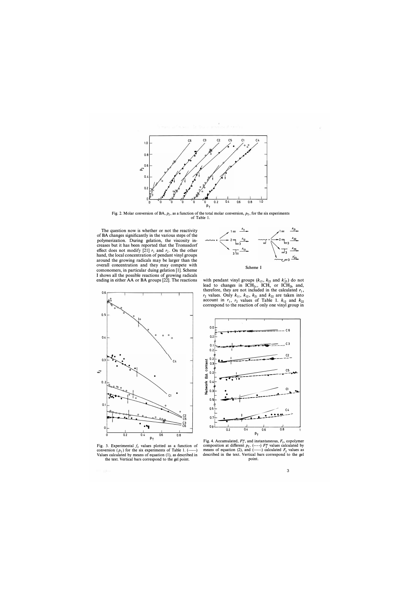

Fig. 2. Molar conversion of BA,  $p_2$ , as a function of the total molar conversion,  $p_T$ , for the six experiments of Table 1.

The question now is whether or not the reactivity of BA changes significantly in the various steps of the polymerization. During gelation, the viscosity increases but it has been reported that the Tromssdorf effect does not modify [21]  $r_1$  and  $r_2$ . On the other hand, the local concentration of pendant vinyl groups around the growing radicals may be larger than the overall concentration and they may compete with comonomers, in particular duing gelation [1]. Scheme I shows all the possible reactions of growing radicals ending in either AA or BA groups [22]. The reactions



Fig. 3. Experimental  $f_2$  values plotted as a function of conversion  $(p_T)$  for the six experiments of Table 1. (-Values calculated by means of equation (1), as described in the text. Vertical bars correspond to the gel point.



Scheme I

with pendant vinyl groups  $(k_{13}, k_{23})$  and  $k'_{23}$  do not lead to changes in  $ICH_{2v}$ ,  $ICH_{v}$  or  $ICH_{2b}$  and, therefore, they are not included in the calculated  $r_1$ ,  $r_2$  values. Only  $k_{11}$ ,  $k_{12}$ ,  $k_{21}$  and  $k_{22}$  are taken into<br>account in  $r_1$ ,  $r_2$  values of Table 1.  $k_{12}$  and  $k_{22}$ correspond to the reaction of only one vinyl group in



Fig. 4. Accumulated,  $F_2^{\text{ac}}$ , and instantaneous,  $F_2$ , copolymer composition at different  $p_T$ . (----)  $F_2^{\text{ac}}$  values calculated by means of equation (2), and (-) calculated  $F_2$  values as described in the text. Vertical bars correspond to the gel point.